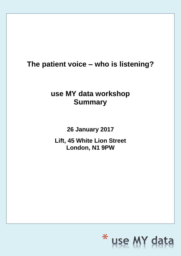### **The patient voice – who is listening?**

### **use MY data workshop Summary**

**26 January 2017**

**Lift, 45 White Lion Street London, N1 9PW** 

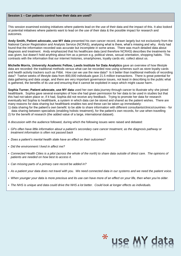#### **Session 1 – Can patients control how their data are used?**

This session examined existing initiatives where patients lead on the use of their data and the impact of this. It also looked at potential initiatives where patients want to lead on the use of their data & the possible impact for research and outcomes.

**Andy Smith, Patient advocate, use MY data** presented his own cancer record, drawn largely but not exclusively from the National Cancer Registration and Analysis Service (NCRAS), analysing what is there, what's missing and why. Andy had found that the information recorded was accurate but incomplete in some areas. There was much detailed data about diagnosis and treatment. Andy emphasized that his healthcare data (and therefore NCRAS) describes the treatments he was given, but doesn't hold anything about him as a person e.g. political views, sexual orientation, shopping habits. This contrasts with the information that our internet histories, smartphones, loyalty cards etc. collect about us.

**Michelle Morris, University Academic Fellow, Leeds Institute for Data Analytics** gave an overview of how lifestyle data are recorded: the traditional methods versus what can be recorded now using schemes such as store loyalty cards and health activity trackers such as Fitbit. How can we use the new data? Is it better than traditional methods of recording data? Twelve weeks of lifestyle data from 800,000 individuals gave 21.5 million transactions. There is great potential for data gathering and data usage, and there are very important governance issues, not least in describing to the public what is gathered, the benefits of its use and ensuring that it cannot be exploited in ways which might cause harm.

**Sophia Turner, Patient advocate, use MY data** used her own data journey through cancer to illustrate why she joined healthbank. Sophia gave several examples of how she had given permission for her data to be used in studies but that this had not taken place or, if it had, Sophia did not receive any feedback. Trying to promote her data for research eventually led Sophia to healthbank, a system in which data can be stored and shared as the patient wishes. There are many reasons for data sharing but healthbank enables two and these can be taken up immediately:

- 1) data sharing for the patient's own benefit: to be able to share information with different consultants/clinics/countries for data sharing between specialists (enabling holistic treatment), for the patient's own records, for use when travelling
- 2) for the benefit of research (the added value of a large, international dataset).

A discussion with the audience followed, during which the following issues were raised and debated:

- *GPs often have little information about a patient's secondary care cancer treatment, as the diagnosis pathway or treatment information is often not passed back*
- *Does a patient's mental health state have an effect on their outcomes?*
- *Did the environment I lived in affect me?*
- *Connected Health Cities is a pilot (across the whole of the north) to share data outside of direct care. The opinions of patients are needed on how best to access it.*
- *Can missing parts of a primary care record be added in?*
- *As a patient your data does not travel with you. We need connected data in our systems and we need the patient voice.*
- *When younger your data is more precious and its use can have more of an effect on your life, then when you're older.*
- *The NHS is unique and data could drive the NHS a lot better. Could look at longer effects as individuals.*

# \* use MY da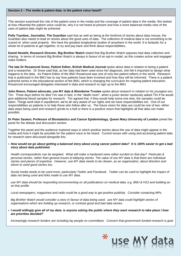#### **Session 2 – The media & patient data: is the patient voice heard?**

This session examined the role of the patient voice in the media and the coverage of patient data in the media. We looked at how influential the patient voice could be, why it is not heard at present and how a more balanced media view of the uses of patient data might be achieved.

**Polly Toynbee, Journalist, The Guardian** said that as well as being at the forefront of stories about data misuse, the Guardian also needs to lead on stories about the good uses of data. The collection of medical data is not something to be scared of, when used properly. We have the greatest longitudinal studies of anywhere in the world. It is fantastic for a whole lot of patients to get together, to try and pay back and think about responsibilities.

**Daniel Nesbitt, Research Director, Big Brother Watch** stated that Big Brother Watch opposes bad data collection and sharing. In terms of consent Big Brother Watch is always in favour of an opt-in model, as this creates active and engaged stake holders.

**The late Dr Rosamund Snow, Patient Editor, British Medical Journal** spoke about data in relation to being a patient and a researcher. Dr Snow said that, as her data had been used since her diagnosis, she felt it important to design what happens to the data. As Patient Editor of the BMJ Rosamund was one of only two patient editors in the world. Research that is publicised in the BMJ has to say how patients have been involved and how they will be informed. There is a patient authored series in the educational section of the BMJ, which is changing the curriculum for ongoing patient education. Rosamund encouraged delegates interested in data and research to sign up to the BMJ.

**John Reeve, Patient advocate, use MY data & Bloodwise Trustee** spoke about research in relation to his youngest son, Tim. Three days before he died Tim was in bed, in the "death room", when a junior doctor cautiously asked Tim if he would give additional blood samples for research. Tim agreed that, if they would help some-one else, the samples could be taken. Things work best in equilibrium; we're all very aware of our rights and we have responsibilities too. One of our responsibilities as patients is to help those who follow after us. The future vision for data use could be one of two: either data stops being used and research grinds to a halt or there is a positive vision that highlights all that data can make possible.

**Dr Peter Sasieni, Professor of Biostatistics and Cancer Epidemiology, Queen Mary University of London** joined the panel for the debate and discussion section.

Together the panel and the audience explored ways in which positive stories about the use of data might appear in the media and how it might be possible for the patient voice to be heard. Current issues with using and accessing patient data for research were discussed alongside this.

▪ *How would we go about getting a balanced story about using cancer patient data? It is 100% easier to get a bad story about data published.*

*Health correspondents can be targeted. What will make a hardened news editor excited on that day? Particular & personal stories, rather than general issues & lobbying stories. The value of use MY data is that there are individual stories and pieces of expertise. However, use MY data needs to be clearer, as an organisation, about direction and whom to send good stories too.* 

*Social media needs to be used more, particularly Twitter and Facebook. Twitter can be used to highlight the impact of data not being used and links made to use MY data.* 

*use MY data should be responding to/commenting on all publications on medical data, e.g. BMJ & HSJ and building an on-line profile.*

*Local newspapers, magazines and radio could be a good way to get positive publicity. Consider contacting MPs.*

*Big Brother Watch would consider a story in favour of data being used. use MY data could highlight stories of organisations which are holding up research, or contrast good and bad data stories.* 

▪ *I would willingly give all of my data: is anyone asking the public where they want research to take place / how are priorities decided?*

*Increasingly research funders are including lay people on committees. Concern that government funded research is goal* 

\* use MY dat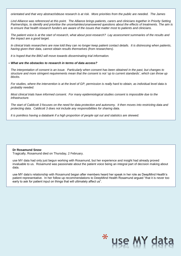*orientated and that very abstract/obtuse research is at risk. More priorities from the public are needed. The James* 

*Lind Alliance was referenced at this point. The Alliance brings patients, carers and clinicians together in Priority Setting Partnerships, to identify and prioritise the uncertainties/unanswered questions about the effects of treatments. The aim is to ensure that health research funders are aware of the issues that matter most to patients and clinicians.*

*The patient voice is at the start of research, what about post-research? Lay assessment summaries of the results and the impact are a good target.*

*In clinical trials researchers are now told they can no longer keep patient contact details. It is distressing when patients, having given their data, cannot obtain results themselves (from researchers).*

*It is hoped that the BMJ will move towards disseminating trial information.*

#### ▪ *What are the obstacles to research in terms of data access?*

*The interpretation of consent is an issue. Particularly when consent has been obtained in the past, but changes to structure and more stringent requirements mean that the consent is not 'up to current standards', which can throw up blocks.*

*For studies, where the intervention is at the level of GP, permission is really hard to obtain, as individual level data is probably needed.*

*Most clinical trials have informed consent. For many epidemiological studies consent is impossible due to the infrastructure.* 

*The start of Caldicott 3 focuses on the need for data protection and autonomy. It then moves into restricting data and protecting data. Caldicott 3 does not include any responsibilities for sharing data.* 

*It is pointless having a databank if a high proportion of people opt out and statistics are skewed.*

#### **Dr Rosamund Snow**

Tragically, Rosamund died on Thursday, 2 February.

use MY data had only just begun working with Rosamund, but her experience and insight had already proved invaluable to us. Rosamund was passionate about the patient voice being an integral part of decision making about data.

use MY data's relationship with Rosamund began after members heard her speak in her role as DeepMind Health's patient representative. In her follow up recommendations to DeepMind Health Rosamund argued "that it is never too early to ask for patient input on things that will ultimately affect us".

## \* use MY da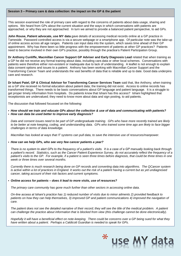#### **Session 3 – Primary care & data collection: the impact on the GP & the patient**

This session examined the role of primary care with regard to the concerns of patients about data usage, sharing and options. We heard from GPs about the current situation and the ways in which conversations with patients are approached, or why they are not approached. In turn we aimed to provide a balanced patient perspective, to aid GPs*.*

**John Rouse, Patient advocate, use MY data** gave details of accessing medical records online at a GP practice in Tameside. Password controlled access is via a secure webpage or a smartphone app. Of particular note was the take-up of online access across all age ranges. Patients can input data into the system, which saves time ahead of their GP appointment. Why has there been so little progress with the empowerment of patients at other GP practices? Patients need to become involved in their own GP's practice, possibly through the practice's Patient Participation Group.

**Dr Anthony Cunliffe, Macmillan Cancer Support GP Adviser and Early Diagnosis Lead** related that when training as a GP he did not receive any formal training about data, including care.data or other local schemes. Conversations with patients were therefore either non-existent or inadequate due to lack of understanding. A leaflet is not enough to explain data consent options and issues to a patient. Anthony has been working with Macmillan Cancer Support and the Transforming Cancer Team and understands the vast benefits of data that is reliable and up to date. Good data underpins care and research.

**Dr Ishani Patel, GP & Clinical Advisor for Transforming Cancer Services Team** said that, like Anthony, when training as a GP she received no formal education about patient data; the training did not exist. Access to online records has transformed things. There needs to be basic conversations about GP language and patient language. It is a struggle to get proper timely information from hospitals. Do patients know that Ishani has this access? Ishani highlighted that receptionists are undervalued; they need to know more about data and sign posting, to aid patients.

The discussion that followed focussed on the following:

▪ *How should we train and educate GPs about the collection & use of data and communicating with patients?* ▪ *How can data be used better to improve early diagnosis?*

*Data and consent issues need to be part of GP undergraduate training. GPs who have more recently trained are likely to be better at note keeping, coding, and understanding data. GPs who trained some time ago are likely to face bigger challenges in terms of data knowledge.*

*Macmillan has looked at ways that IT systems can pull data, to save the intensive use of resources/manpower.*

#### ▪ *How can we help GPs, who see very few cancer patients a year?*

*There is no system to alert GPs to the frequency of a patient's visits. It is a case of a GP manually looking back through a patient's record. Statistics, such as the Cancer Patient Experience Survey, do not accurately reflect the frequency of a patient's visits to the GP. For example, if a patient is seen three times before diagnosis, that could be three times in one week or three times over several months.*

*Currently there is much research being done on GP records and converting data into algorithms. The QCancer system is active within a lot of practices in England. It works out the risk of a patient having a current but as yet undiagnosed cancer, taking account of their risk factors and current symptoms.* 

#### ▪ *Online access for patients – does it lead to more visits, use of resources?*

*The primary care community has gone much further than other sectors in accessing online data.* 

*On-line access at Ishani's practice has 1) reduced number of visits due to minor ailments 2) provided feedback to patients on how they can help themselves, 3) improved GP and patient communications 4) improved the navigation of care.*

*The patient does not see the detailed narrative of their record; they will see the title of the medical problem. A patient can challenge the practice about information that is blocked from view (this challenge cannot be done electronically).*

*Hopefully it will have a beneficial effect on note-keeping. There could be concerns over a GP being sued for what they have written about a patient. Perhaps a Caldicott Guardian is needed to speak for GPs.* 

\* use MY da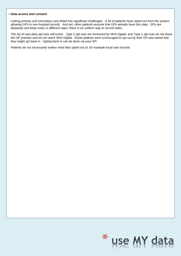#### ▪ *Data access and consent*

*Linking primary and secondary care detail has significant challenges. A lot of patients have opted out from the system allowing GPs to see hospital records. And yet, other patients assume that GPs already have this data. GPs are disparate and keep notes in different ways; there is no uniform way to record notes.*

*The list of care.data opt-outs still exists. Type 2 opt outs are honoured by NHS Digital, and Type 1 opt-outs do not leave the GP practice and do not reach NHS Digital. Some patients were encouraged to opt out by their GP and asked how they might opt back in. Opting back in can be done via your GP.*

*Patients do not necessarily realise what they opted out of, for example local care records.* 

# \* use MY dat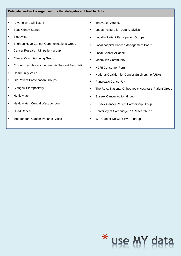#### **Delegate feedback – organisations that delegates will feed back to**

- Anyone who will listen!
- Beat Kidney Stones
- Bloodwise
- Brighton Hove Cancer Communications Group
- Cancer Research UK patient group
- Clinical Commissioning Group
- Chronic Lymphocytic Leukaemia Support Association
- Community Voice
- GP Patient Participation Groups
- Glasgow Biorepository
- Healthwatch
- Healthwatch Central West London
- I Had Cancer
- Independent Cancer Patients' Voice
- **■** Innovation Agency
- Leeds Institute for Data Analytics
- Locality Patient Participation Groups
- Local hospital Cancer Management Board
- **Local Cancer Alliance**
- Macmillan Community
- NCRI Consumer Forum
- National Coalition for Cancer Survivorship (USA)
- Pancreatic Cancer UK

\*

use MY da

- The Royal National Orthopaedic Hospital's Patient Group
- **EXEC** Sussex Cancer Action Group
- **EXEC** Sussex Cancer Patient Partnership Group
- University of Cambridge PC Research PPI
- WH Cancer Network PV + I group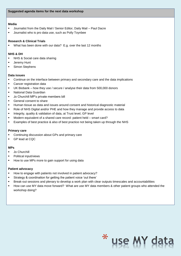#### **Media**

- Journalist from the Daily Mail / Senior Editor, Daily Mail Paul Dacre
- Journalist who is pro data use, such as Polly Toynbee

#### **Research & Clinical Trials**

▪ What has been done with our data? E.g. over the last 12 months

#### **NHS & DH**

- NHS & Social care data sharing
- Jeremy Hunt
- Simon Stephens

#### **Data issues**

- **•** Continue on the interface between primary and secondary care and the data implications
- Cancer registration data
- UK Biobank how they use / secure / analyse their data from 500,000 donors
- **National Data Guardian**
- Jo Churchill MP's private members bill
- General consent to share
- Human tissue as data and issues around consent and historical diagnostic material
- Role of NHS Digital and/or PHE and how they manage and provide access to data
- **EXEDERITY**, quality & validation of data, at Trust level, GP level
- Modern equivalent of a shared care record: patient held smart card?
- Examples of best practice & also of best practice not being taken up through the NHS

#### **Primary care**

- Continuing discussion about GPs and primary care
- GP lead at CQC

#### **MPs**

- Jo Churchill
- Political input/views
- How to use MPs more to gain support for using data

#### **Patient advocacy**

- How to engage with patients not involved in patient advocacy?
- Strategy & coordination for getting the patient voice 'out there'
- Break-out sessions and plenary to develop a work plan with clear outputs timescales and accountabilities
- How can use MY data move forward? What are use MY data members & other patient groups who attended the workshop doing?

\*

use MY d